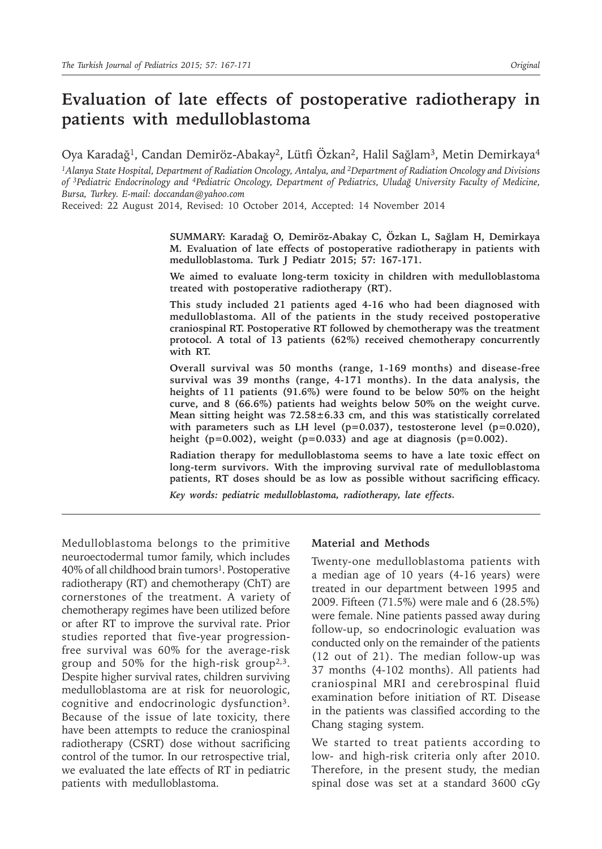# **Evaluation of late effects of postoperative radiotherapy in patients with medulloblastoma**

Oya Karadağ<sup>1</sup>, Candan Demiröz-Abakay<sup>2</sup>, Lütfi Özkan<sup>2</sup>, Halil Sağlam<sup>3</sup>, Metin Demirkaya<sup>4</sup>

*1Alanya State Hospital, Department of Radiation Oncology, Antalya, and 2Department of Radiation Oncology and Divisions of 3Pediatric Endocrinology and 4Pediatric Oncology, Department of Pediatrics, Uludağ University Faculty of Medicine, Bursa, Turkey. E-mail: doccandan@yahoo.com*

Received: 22 August 2014, Revised: 10 October 2014, Accepted: 14 November 2014

**SUMMARY: Karadağ O, Demiröz-Abakay C, Özkan L, Sağlam H, Demirkaya M. Evaluation of late effects of postoperative radiotherapy in patients with medulloblastoma. Turk J Pediatr 2015; 57: 167-171.**

**We aimed to evaluate long-term toxicity in children with medulloblastoma treated with postoperative radiotherapy (RT).** 

**This study included 21 patients aged 4-16 who had been diagnosed with medulloblastoma. All of the patients in the study received postoperative craniospinal RT. Postoperative RT followed by chemotherapy was the treatment protocol. A total of 13 patients (62%) received chemotherapy concurrently with RT.** 

**Overall survival was 50 months (range, 1-169 months) and disease-free survival was 39 months (range, 4-171 months). In the data analysis, the heights of 11 patients (91.6%) were found to be below 50% on the height curve, and 8 (66.6%) patients had weights below 50% on the weight curve. Mean sitting height was 72.58±6.33 cm, and this was statistically correlated**  with parameters such as LH level  $(p=0.037)$ , testosterone level  $(p=0.020)$ , **height (p=0.002), weight (p=0.033) and age at diagnosis (p=0.002).** 

**Radiation therapy for medulloblastoma seems to have a late toxic effect on long-term survivors. With the improving survival rate of medulloblastoma patients, RT doses should be as low as possible without sacrificing efficacy.**

*Key words: pediatric medulloblastoma, radiotherapy, late effects.*

Medulloblastoma belongs to the primitive neuroectodermal tumor family, which includes 40% of all childhood brain tumors<sup>1</sup>. Postoperative radiotherapy (RT) and chemotherapy (ChT) are cornerstones of the treatment. A variety of chemotherapy regimes have been utilized before or after RT to improve the survival rate. Prior studies reported that five-year progressionfree survival was 60% for the average-risk group and 50% for the high-risk group<sup>2,3</sup>. Despite higher survival rates, children surviving medulloblastoma are at risk for neuorologic, cognitive and endocrinologic dysfunction<sup>3</sup>. Because of the issue of late toxicity, there have been attempts to reduce the craniospinal radiotherapy (CSRT) dose without sacrificing control of the tumor. In our retrospective trial, we evaluated the late effects of RT in pediatric patients with medulloblastoma.

#### **Material and Methods**

Twenty-one medulloblastoma patients with a median age of 10 years (4-16 years) were treated in our department between 1995 and 2009. Fifteen (71.5%) were male and 6 (28.5%) were female. Nine patients passed away during follow-up, so endocrinologic evaluation was conducted only on the remainder of the patients (12 out of 21). The median follow-up was 37 months (4-102 months). All patients had craniospinal MRI and cerebrospinal fluid examination before initiation of RT. Disease in the patients was classified according to the Chang staging system.

We started to treat patients according to low- and high-risk criteria only after 2010. Therefore, in the present study, the median spinal dose was set at a standard 3600 cGy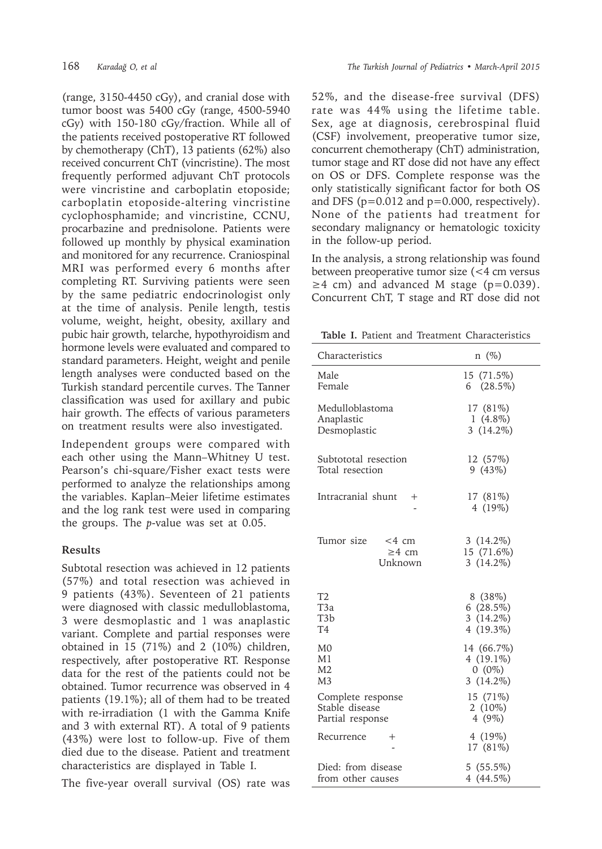(range, 3150-4450 cGy), and cranial dose with tumor boost was 5400 cGy (range, 4500-5940 cGy) with 150-180 cGy/fraction. While all of the patients received postoperative RT followed by chemotherapy (ChT), 13 patients (62%) also received concurrent ChT (vincristine). The most frequently performed adjuvant ChT protocols were vincristine and carboplatin etoposide; carboplatin etoposide-altering vincristine cyclophosphamide; and vincristine, CCNU, procarbazine and prednisolone. Patients were followed up monthly by physical examination and monitored for any recurrence. Craniospinal MRI was performed every 6 months after completing RT. Surviving patients were seen by the same pediatric endocrinologist only at the time of analysis. Penile length, testis volume, weight, height, obesity, axillary and pubic hair growth, telarche, hypothyroidism and hormone levels were evaluated and compared to standard parameters. Height, weight and penile length analyses were conducted based on the Turkish standard percentile curves. The Tanner classification was used for axillary and pubic hair growth. The effects of various parameters on treatment results were also investigated.

Independent groups were compared with each other using the Mann–Whitney U test. Pearson's chi-square/Fisher exact tests were performed to analyze the relationships among the variables. Kaplan–Meier lifetime estimates and the log rank test were used in comparing the groups. The *p*-value was set at 0.05.

### **Results**

Subtotal resection was achieved in 12 patients (57%) and total resection was achieved in 9 patients (43%). Seventeen of 21 patients were diagnosed with classic medulloblastoma, 3 were desmoplastic and 1 was anaplastic variant. Complete and partial responses were obtained in 15 (71%) and 2 (10%) children, respectively, after postoperative RT. Response data for the rest of the patients could not be obtained. Tumor recurrence was observed in 4 patients (19.1%); all of them had to be treated with re-irradiation (1 with the Gamma Knife and 3 with external RT). A total of 9 patients (43%) were lost to follow-up. Five of them died due to the disease. Patient and treatment characteristics are displayed in Table I.

The five-year overall survival (OS) rate was

52%, and the disease-free survival (DFS) rate was 44% using the lifetime table. Sex, age at diagnosis, cerebrospinal fluid (CSF) involvement, preoperative tumor size, concurrent chemotherapy (ChT) administration, tumor stage and RT dose did not have any effect on OS or DFS. Complete response was the only statistically significant factor for both OS and DFS ( $p=0.012$  and  $p=0.000$ , respectively). None of the patients had treatment for secondary malignancy or hematologic toxicity in the follow-up period.

In the analysis, a strong relationship was found between preoperative tumor size (<4 cm versus  $\geq$ 4 cm) and advanced M stage (p=0.039). Concurrent ChT, T stage and RT dose did not

**Table I.** Patient and Treatment Characteristics

| Characteristics                                  | $n \ (\%)$                                 |
|--------------------------------------------------|--------------------------------------------|
| Male                                             | 15 (71.5%)                                 |
| Female                                           | $6(28.5\%)$                                |
| Medulloblastoma                                  | 17 (81%)                                   |
| Anaplastic                                       | $1(4.8\%)$                                 |
| Desmoplastic                                     | 3 $(14.2\%)$                               |
| Subtototal resection                             | 12 (57%)                                   |
| Total resection                                  | 9(43%)                                     |
| Intracranial shunt                               | 17 (81%)                                   |
| $^{+}$                                           | 4 (19%)                                    |
| Tumor size<br>$<$ 4 cm<br>$\geq$ 4 cm<br>Unknown | 3 $(14.2\%)$<br>15 (71.6%)<br>3 $(14.2\%)$ |
| T <sub>2</sub>                                   | 8(38%)                                     |
| T <sub>3</sub> a                                 | 6(28.5%)                                   |
| T3b                                              | 3 $(14.2\%)$                               |
| T4                                               | $4(19.3\%)$                                |
| M <sub>0</sub>                                   | 14 (66.7%)                                 |
| M1                                               | 4 $(19.1\%)$                               |
| M2                                               | $0(0\%)$                                   |
| M3                                               | 3 $(14.2\%)$                               |
| Complete response                                | 15 (71%)                                   |
| Stable disease                                   | 2 $(10\%)$                                 |
| Partial response                                 | 4 $(9\%)$                                  |
| Recurrence                                       | $4(19\%)$                                  |
| $^+$                                             | 17 (81%)                                   |
| Died: from disease                               | $5(55.5\%)$                                |
| from other causes                                | 4 (44.5%)                                  |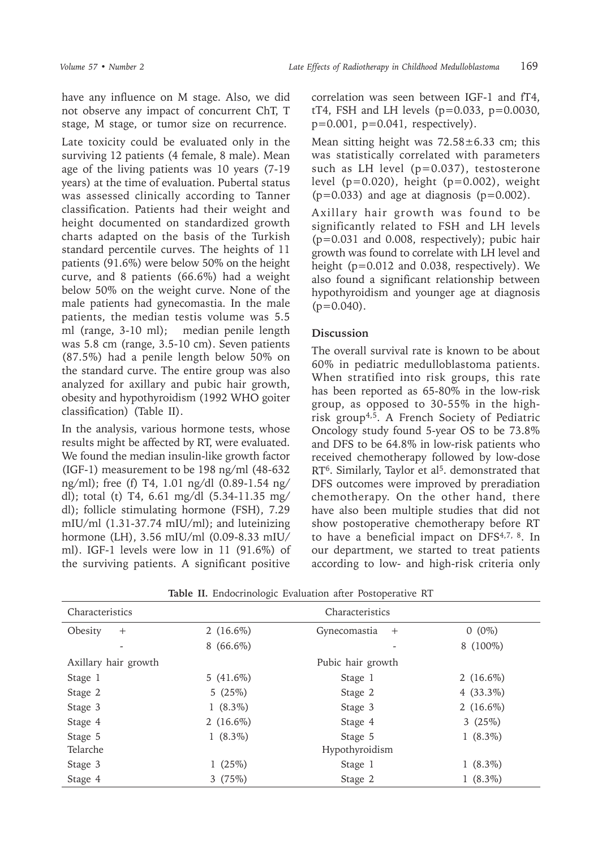have any influence on M stage. Also, we did not observe any impact of concurrent ChT, T stage, M stage, or tumor size on recurrence.

Late toxicity could be evaluated only in the surviving 12 patients (4 female, 8 male). Mean age of the living patients was 10 years (7-19 years) at the time of evaluation. Pubertal status was assessed clinically according to Tanner classification. Patients had their weight and height documented on standardized growth charts adapted on the basis of the Turkish standard percentile curves. The heights of 11 patients (91.6%) were below 50% on the height curve, and 8 patients (66.6%) had a weight below 50% on the weight curve. None of the male patients had gynecomastia. In the male patients, the median testis volume was 5.5 ml (range, 3-10 ml); median penile length was 5.8 cm (range, 3.5-10 cm). Seven patients (87.5%) had a penile length below 50% on the standard curve. The entire group was also analyzed for axillary and pubic hair growth, obesity and hypothyroidism (1992 WHO goiter classification) (Table II).

In the analysis, various hormone tests, whose results might be affected by RT, were evaluated. We found the median insulin-like growth factor (IGF-1) measurement to be 198 ng/ml (48-632 ng/ml); free (f) T4, 1.01 ng/dl (0.89-1.54 ng/ dl); total (t) T4, 6.61 mg/dl (5.34-11.35 mg/ dl); follicle stimulating hormone (FSH), 7.29 mIU/ml (1.31-37.74 mIU/ml); and luteinizing hormone (LH), 3.56 mIU/ml (0.09-8.33 mIU/ ml). IGF-1 levels were low in 11 (91.6%) of the surviving patients. A significant positive

correlation was seen between IGF-1 and fT4, tT4, FSH and LH levels  $(p=0.033, p=0.0030, p=0.0030, p=0.0030, p=0.0030, p=0.0030, p=0.0030, p=0.0030, p=0.0030, p=0.0030, p=0.0030, p=0.0030, p=0.0030, p=0.0030, p=0.0030, p=0.0030, p=0.0030, p=0.0030, p=0.0030, p=0.0030, p=0.0030, p=0.0030,$ p=0.001, p=0.041, respectively).

Mean sitting height was  $72.58 \pm 6.33$  cm; this was statistically correlated with parameters such as LH level (p=0.037), testosterone level  $(p=0.020)$ , height  $(p=0.002)$ , weight  $(p=0.033)$  and age at diagnosis  $(p=0.002)$ .

Axillary hair growth was found to be significantly related to FSH and LH levels (p=0.031 and 0.008, respectively); pubic hair growth was found to correlate with LH level and height (p=0.012 and 0.038, respectively). We also found a significant relationship between hypothyroidism and younger age at diagnosis  $(p=0.040)$ .

## **Discussion**

The overall survival rate is known to be about 60% in pediatric medulloblastoma patients. When stratified into risk groups, this rate has been reported as 65-80% in the low-risk group, as opposed to 30-55% in the highrisk group4,5. A French Society of Pediatric Oncology study found 5-year OS to be 73.8% and DFS to be 64.8% in low-risk patients who received chemotherapy followed by low-dose RT<sup>6</sup>. Similarly, Taylor et al<sup>5</sup>. demonstrated that DFS outcomes were improved by preradiation chemotherapy. On the other hand, there have also been multiple studies that did not show postoperative chemotherapy before RT to have a beneficial impact on DFS4,7, 8. In our department, we started to treat patients according to low- and high-risk criteria only

| <b>Table II.</b> Endocrimologic Evaluation after Postoperative KT |              |                           |              |
|-------------------------------------------------------------------|--------------|---------------------------|--------------|
| Characteristics                                                   |              | Characteristics           |              |
| Obesity<br>$+$                                                    | 2 $(16.6\%)$ | Gynecomastia<br>$^{+}$    | $0(0\%)$     |
| -                                                                 | $8(66.6\%)$  |                           | 8 (100%)     |
| Axillary hair growth                                              |              | Pubic hair growth         |              |
| Stage 1                                                           | $5(41.6\%)$  | Stage 1                   | 2 $(16.6\%)$ |
| Stage 2                                                           | 5(25%)       | Stage 2                   | $4(33.3\%)$  |
| Stage 3                                                           | $1(8.3\%)$   | Stage 3                   | 2 $(16.6\%)$ |
| Stage 4                                                           | 2 $(16.6\%)$ | Stage 4                   | 3 $(25%)$    |
| Stage 5<br>Telarche                                               | $1(8.3\%)$   | Stage 5<br>Hypothyroidism | $1(8.3\%)$   |
| Stage 3                                                           | 1 $(25%)$    | Stage 1                   | $1(8.3\%)$   |
| Stage 4                                                           | 3(75%)       | Stage 2                   | $1(8.3\%)$   |
|                                                                   |              |                           |              |

**Table II.** Endocrinologic Evaluation after Postoperative RT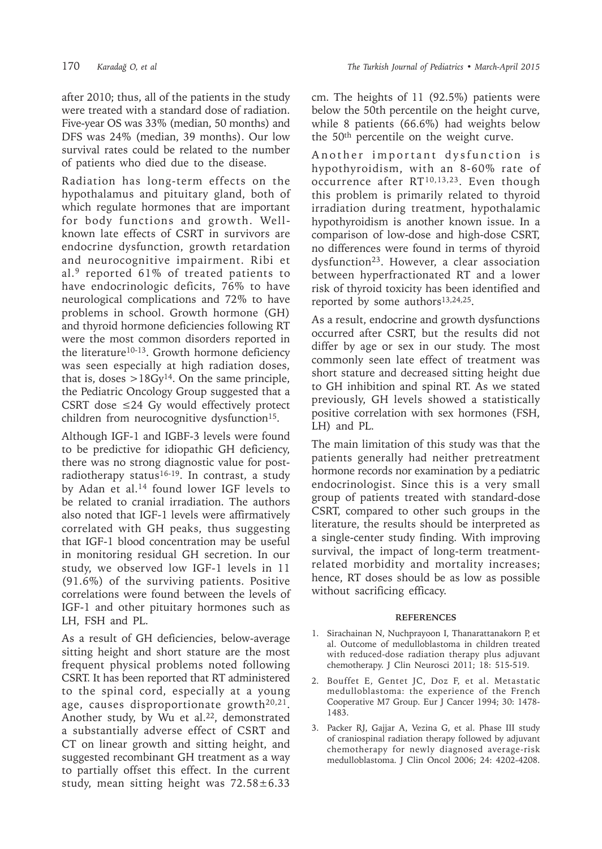after 2010; thus, all of the patients in the study were treated with a standard dose of radiation. Five-year OS was 33% (median, 50 months) and DFS was 24% (median, 39 months). Our low survival rates could be related to the number of patients who died due to the disease.

Radiation has long-term effects on the hypothalamus and pituitary gland, both of which regulate hormones that are important for body functions and growth. Wellknown late effects of CSRT in survivors are endocrine dysfunction, growth retardation and neurocognitive impairment. Ribi et al.9 reported 61% of treated patients to have endocrinologic deficits, 76% to have neurological complications and 72% to have problems in school. Growth hormone (GH) and thyroid hormone deficiencies following RT were the most common disorders reported in the literature<sup>10-13</sup>. Growth hormone deficiency was seen especially at high radiation doses, that is, doses  $>18Gy^{14}$ . On the same principle, the Pediatric Oncology Group suggested that a CSRT dose  $≤24$  Gy would effectively protect children from neurocognitive dysfunction<sup>15</sup>.

Although IGF-1 and IGBF-3 levels were found to be predictive for idiopathic GH deficiency, there was no strong diagnostic value for postradiotherapy status<sup>16-19</sup>. In contrast, a study by Adan et al.14 found lower IGF levels to be related to cranial irradiation. The authors also noted that IGF-1 levels were affirmatively correlated with GH peaks, thus suggesting that IGF-1 blood concentration may be useful in monitoring residual GH secretion. In our study, we observed low IGF-1 levels in 11 (91.6%) of the surviving patients. Positive correlations were found between the levels of IGF-1 and other pituitary hormones such as LH, FSH and PL.

As a result of GH deficiencies, below-average sitting height and short stature are the most frequent physical problems noted following CSRT. It has been reported that RT administered to the spinal cord, especially at a young age, causes disproportionate growth<sup>20,21</sup>. Another study, by Wu et al.<sup>22</sup>, demonstrated a substantially adverse effect of CSRT and CT on linear growth and sitting height, and suggested recombinant GH treatment as a way to partially offset this effect. In the current study, mean sitting height was  $72.58 \pm 6.33$ 

cm. The heights of 11 (92.5%) patients were below the 50th percentile on the height curve, while 8 patients (66.6%) had weights below the 50th percentile on the weight curve.

Another important dysfunction is hypothyroidism, with an 8-60% rate of occurrence after RT10,13,23. Even though this problem is primarily related to thyroid irradiation during treatment, hypothalamic hypothyroidism is another known issue. In a comparison of low-dose and high-dose CSRT, no differences were found in terms of thyroid dysfunction<sup>23</sup>. However, a clear association between hyperfractionated RT and a lower risk of thyroid toxicity has been identified and reported by some authors<sup>13,24,25</sup>.

As a result, endocrine and growth dysfunctions occurred after CSRT, but the results did not differ by age or sex in our study. The most commonly seen late effect of treatment was short stature and decreased sitting height due to GH inhibition and spinal RT. As we stated previously, GH levels showed a statistically positive correlation with sex hormones (FSH, LH) and PL.

The main limitation of this study was that the patients generally had neither pretreatment hormone records nor examination by a pediatric endocrinologist. Since this is a very small group of patients treated with standard-dose CSRT, compared to other such groups in the literature, the results should be interpreted as a single-center study finding. With improving survival, the impact of long-term treatmentrelated morbidity and mortality increases; hence, RT doses should be as low as possible without sacrificing efficacy.

### **REFERENCES**

- 1. Sirachainan N, Nuchprayoon I, Thanarattanakorn P, et al. Outcome of medulloblastoma in children treated with reduced-dose radiation therapy plus adjuvant chemotherapy. J Clin Neurosci 2011; 18: 515-519.
- 2. Bouffet E, Gentet JC, Doz F, et al. Metastatic medulloblastoma: the experience of the French Cooperative M7 Group. Eur J Cancer 1994; 30: 1478- 1483.
- 3. Packer RJ, Gajjar A, Vezina G, et al. Phase III study of craniospinal radiation therapy followed by adjuvant chemotherapy for newly diagnosed average-risk medulloblastoma. J Clin Oncol 2006; 24: 4202-4208.